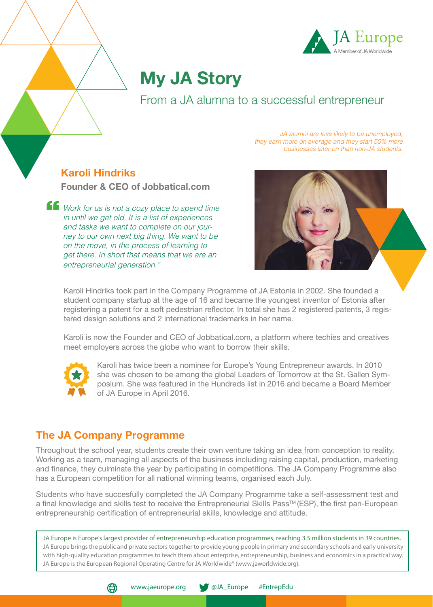

# My JA Story

# From a JA alumna to a successful entrepreneur

*JA alumni are less likely to be unemployed, they earn more on average and they start 50% more businesses later on than non-JA students.*

# Karoli Hindriks

Founder & CEO of Jobbatical.com

*Work for us is not a cozy place to spend time in until we get old. It is a list of experiences and tasks we want to complete on our journey to our own next big thing. We want to be on the move, in the process of learning to get there. In short that means that we are an entrepreneurial generation."*



Karoli Hindriks took part in the Company Programme of JA Estonia in 2002. She founded a student company startup at the age of 16 and became the youngest inventor of Estonia after registering a patent for a soft pedestrian reflector. In total she has 2 registered patents, 3 registered design solutions and 2 international trademarks in her name.

Karoli is now the Founder and CEO of Jobbatical.com, a platform where techies and creatives meet employers across the globe who want to borrow their skills.



Karoli has twice been a nominee for Europe's Young Entrepreneur awards. In 2010 she was chosen to be among the global Leaders of Tomorrow at the St. Gallen Symposium. She was featured in the Hundreds list in 2016 and became a Board Member of JA Europe in April 2016.

### The JA Company Programme

Throughout the school year, students create their own venture taking an idea from conception to reality. Working as a team, managing all aspects of the business including raising capital, production, marketing and finance, they culminate the year by participating in competitions. The JA Company Programme also has a European competition for all national winning teams, organised each July.

Students who have succesfully completed the JA Company Programme take a self-assessment test and a final knowledge and skills test to receive the Entrepreneurial Skills Pass™ (ESP), the first pan-European entrepreneurship certification of entrepreneurial skills, knowledge and attitude.

JA Europe is Europe's largest provider of entrepreneurship education programmes, reaching 3.5 million students in 39 countries. JA Europe brings the public and private sectors together to provide young people in primary and secondary schools and early university with high-quality education programmes to teach them about enterprise, entrepreneurship, business and economics in a practical way. JA Europe is the European Regional Operating Centre for JA Worldwide® (www.jaworldwide.org).